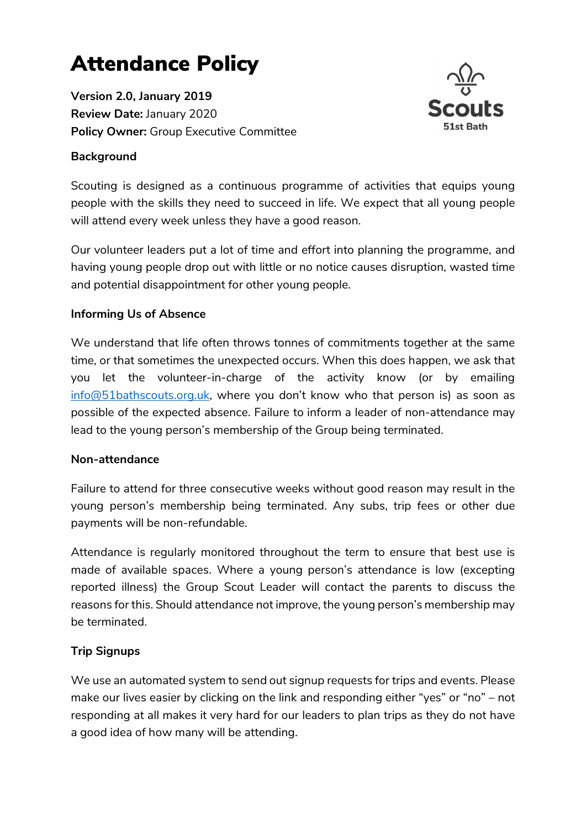# Attendance Policy

Version 2.0, January 2019 Review Date: January 2020 Policy Owner: Group Executive Committee

## **Background**



Scouting is designed as a continuous programme of activities that equips young people with the skills they need to succeed in life. We expect that all young people will attend every week unless they have a good reason.

Our volunteer leaders put a lot of time and effort into planning the programme, and having young people drop out with little or no notice causes disruption, wasted time and potential disappointment for other young people.

### Informing Us of Absence

We understand that life often throws tonnes of commitments together at the same time, or that sometimes the unexpected occurs. When this does happen, we ask that you let the volunteer-in-charge of the activity know (or by emailing info@51bathscouts.org.uk, where you don't know who that person is) as soon as possible of the expected absence. Failure to inform a leader of non-attendance may lead to the young person's membership of the Group being terminated.

### Non-attendance

Failure to attend for three consecutive weeks without good reason may result in the young person's membership being terminated. Any subs, trip fees or other due payments will be non-refundable.

Attendance is regularly monitored throughout the term to ensure that best use is made of available spaces. Where a young person's attendance is low (excepting reported illness) the Group Scout Leader will contact the parents to discuss the reasons for this. Should attendance not improve, the young person's membership may be terminated.

### Trip Signups

We use an automated system to send out signup requests for trips and events. Please make our lives easier by clicking on the link and responding either "yes" or "no" – not responding at all makes it very hard for our leaders to plan trips as they do not have a good idea of how many will be attending.